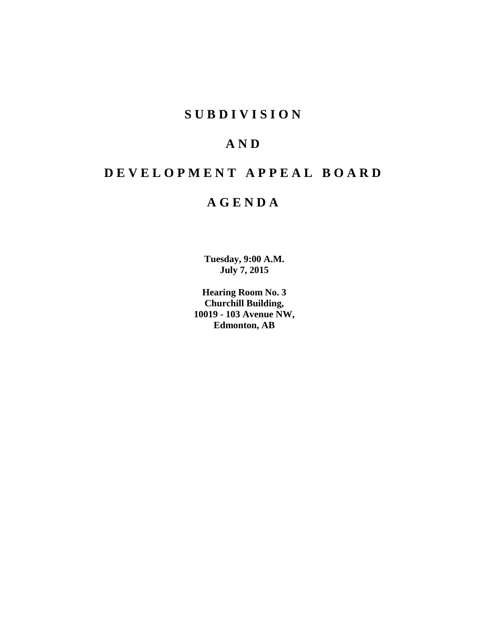## **S U B D I V I S I O N**

# **A N D**

# **D E V E L O P M E N T A P P E A L B O A R D**

## **A G E N D A**

**Tuesday, 9:00 A.M. July 7, 2015**

**Hearing Room No. 3 Churchill Building, 10019 - 103 Avenue NW, Edmonton, AB**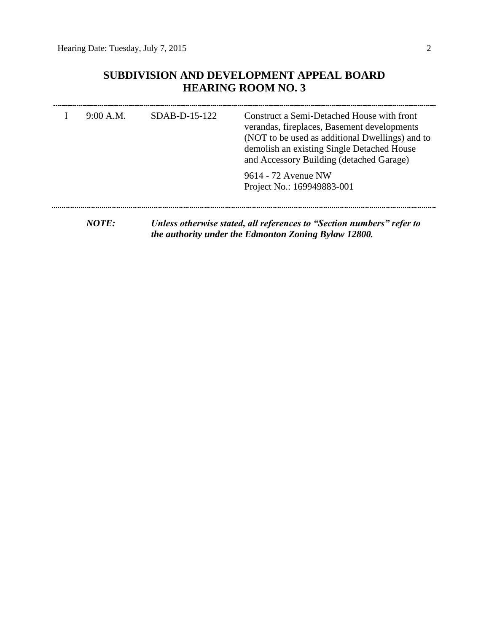## **SUBDIVISION AND DEVELOPMENT APPEAL BOARD HEARING ROOM NO. 3**

| 9:00 A.M.                          | $SDAB-D-15-122$ | Construct a Semi-Detached House with front<br>verandas, fireplaces, Basement developments<br>(NOT to be used as additional Dwellings) and to<br>demolish an existing Single Detached House<br>and Accessory Building (detached Garage) |
|------------------------------------|-----------------|----------------------------------------------------------------------------------------------------------------------------------------------------------------------------------------------------------------------------------------|
|                                    |                 | 9614 - 72 Avenue NW<br>Project No.: 169949883-001                                                                                                                                                                                      |
| $\bm{M}\bm{\Lambda}\bm{T}\bm{F}$ . |                 | Unlass otherwise stated, all references to "Cection numbers" refer to                                                                                                                                                                  |

*NOTE: Unless otherwise stated, all references to "Section numbers" refer to the authority under the Edmonton Zoning Bylaw 12800.*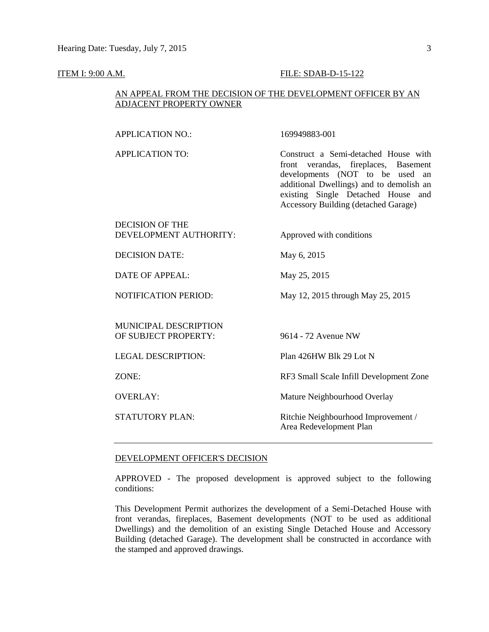#### **ITEM I: 9:00 A.M. FILE: SDAB-D-15-122**

#### AN APPEAL FROM THE DECISION OF THE DEVELOPMENT OFFICER BY AN ADJACENT PROPERTY OWNER

APPLICATION NO.: 169949883-001

| <b>APPLICATION TO:</b>                        | Construct a Semi-detached House with<br>front verandas, fireplaces, Basement<br>developments (NOT to be used<br>an<br>additional Dwellings) and to demolish an<br>existing Single Detached House and<br><b>Accessory Building (detached Garage)</b> |
|-----------------------------------------------|-----------------------------------------------------------------------------------------------------------------------------------------------------------------------------------------------------------------------------------------------------|
| DECISION OF THE<br>DEVELOPMENT AUTHORITY:     | Approved with conditions                                                                                                                                                                                                                            |
| <b>DECISION DATE:</b>                         | May 6, 2015                                                                                                                                                                                                                                         |
| DATE OF APPEAL:                               | May 25, 2015                                                                                                                                                                                                                                        |
| <b>NOTIFICATION PERIOD:</b>                   | May 12, 2015 through May 25, 2015                                                                                                                                                                                                                   |
| MUNICIPAL DESCRIPTION<br>OF SUBJECT PROPERTY: | 9614 - 72 Avenue NW                                                                                                                                                                                                                                 |
| <b>LEGAL DESCRIPTION:</b>                     | Plan 426HW Blk 29 Lot N                                                                                                                                                                                                                             |
| ZONE:                                         | RF3 Small Scale Infill Development Zone                                                                                                                                                                                                             |
| <b>OVERLAY:</b>                               | Mature Neighbourhood Overlay                                                                                                                                                                                                                        |
| <b>STATUTORY PLAN:</b>                        | Ritchie Neighbourhood Improvement /<br>Area Redevelopment Plan                                                                                                                                                                                      |

#### DEVELOPMENT OFFICER'S DECISION

APPROVED - The proposed development is approved subject to the following conditions:

This Development Permit authorizes the development of a Semi-Detached House with front verandas, fireplaces, Basement developments (NOT to be used as additional Dwellings) and the demolition of an existing Single Detached House and Accessory Building (detached Garage). The development shall be constructed in accordance with the stamped and approved drawings.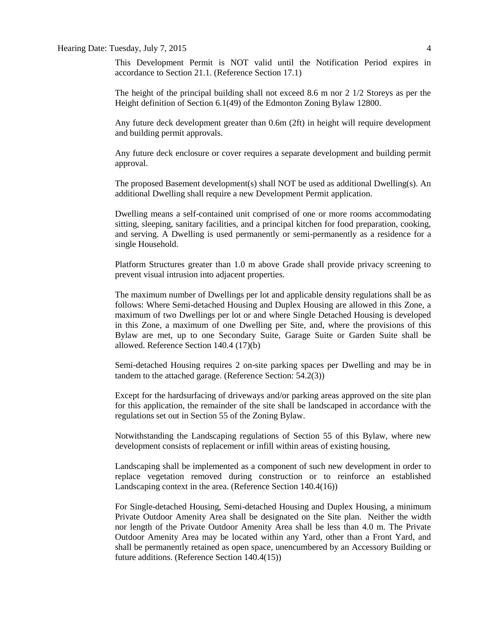#### Hearing Date: Tuesday, July 7, 2015 4

This Development Permit is NOT valid until the Notification Period expires in accordance to Section 21.1. (Reference Section 17.1)

The height of the principal building shall not exceed 8.6 m nor 2 1/2 Storeys as per the Height definition of Section 6.1(49) of the Edmonton Zoning Bylaw 12800.

Any future deck development greater than 0.6m (2ft) in height will require development and building permit approvals.

Any future deck enclosure or cover requires a separate development and building permit approval.

The proposed Basement development(s) shall NOT be used as additional Dwelling(s). An additional Dwelling shall require a new Development Permit application.

Dwelling means a self-contained unit comprised of one or more rooms accommodating sitting, sleeping, sanitary facilities, and a principal kitchen for food preparation, cooking, and serving. A Dwelling is used permanently or semi-permanently as a residence for a single Household.

Platform Structures greater than 1.0 m above Grade shall provide privacy screening to prevent visual intrusion into adjacent properties.

The maximum number of Dwellings per lot and applicable density regulations shall be as follows: Where Semi-detached Housing and Duplex Housing are allowed in this Zone, a maximum of two Dwellings per lot or and where Single Detached Housing is developed in this Zone, a maximum of one Dwelling per Site, and, where the provisions of this Bylaw are met, up to one Secondary Suite, Garage Suite or Garden Suite shall be allowed. Reference Section 140.4 (17)(b)

Semi-detached Housing requires 2 on-site parking spaces per Dwelling and may be in tandem to the attached garage. (Reference Section: 54.2(3))

Except for the hardsurfacing of driveways and/or parking areas approved on the site plan for this application, the remainder of the site shall be landscaped in accordance with the regulations set out in Section 55 of the Zoning Bylaw.

Notwithstanding the Landscaping regulations of Section 55 of this Bylaw, where new development consists of replacement or infill within areas of existing housing,

Landscaping shall be implemented as a component of such new development in order to replace vegetation removed during construction or to reinforce an established Landscaping context in the area. (Reference Section 140.4(16))

For Single-detached Housing, Semi-detached Housing and Duplex Housing, a minimum Private Outdoor Amenity Area shall be designated on the Site plan. Neither the width nor length of the Private Outdoor Amenity Area shall be less than 4.0 m. The Private Outdoor Amenity Area may be located within any Yard, other than a Front Yard, and shall be permanently retained as open space, unencumbered by an Accessory Building or future additions. (Reference Section 140.4(15))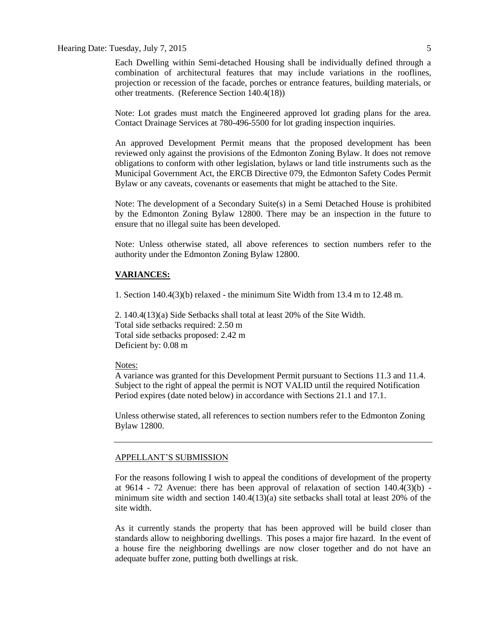#### Hearing Date: Tuesday, July 7, 2015

Each Dwelling within Semi-detached Housing shall be individually defined through a combination of architectural features that may include variations in the rooflines, projection or recession of the facade, porches or entrance features, building materials, or other treatments. (Reference Section 140.4(18))

Note: Lot grades must match the Engineered approved lot grading plans for the area. Contact Drainage Services at 780-496-5500 for lot grading inspection inquiries.

An approved Development Permit means that the proposed development has been reviewed only against the provisions of the Edmonton Zoning Bylaw. It does not remove obligations to conform with other legislation, bylaws or land title instruments such as the Municipal Government Act, the ERCB Directive 079, the Edmonton Safety Codes Permit Bylaw or any caveats, covenants or easements that might be attached to the Site.

Note: The development of a Secondary Suite(s) in a Semi Detached House is prohibited by the Edmonton Zoning Bylaw 12800. There may be an inspection in the future to ensure that no illegal suite has been developed.

Note: Unless otherwise stated, all above references to section numbers refer to the authority under the Edmonton Zoning Bylaw 12800.

#### **VARIANCES:**

1. Section 140.4(3)(b) relaxed - the minimum Site Width from 13.4 m to 12.48 m.

2. 140.4(13)(a) Side Setbacks shall total at least 20% of the Site Width. Total side setbacks required: 2.50 m Total side setbacks proposed: 2.42 m Deficient by: 0.08 m

#### Notes:

A variance was granted for this Development Permit pursuant to Sections 11.3 and 11.4. Subject to the right of appeal the permit is NOT VALID until the required Notification Period expires (date noted below) in accordance with Sections 21.1 and 17.1.

Unless otherwise stated, all references to section numbers refer to the Edmonton Zoning Bylaw 12800.

#### APPELLANT'S SUBMISSION

For the reasons following I wish to appeal the conditions of development of the property at 9614 - 72 Avenue: there has been approval of relaxation of section  $140.4(3)(b)$  minimum site width and section 140.4(13)(a) site setbacks shall total at least 20% of the site width.

As it currently stands the property that has been approved will be build closer than standards allow to neighboring dwellings. This poses a major fire hazard. In the event of a house fire the neighboring dwellings are now closer together and do not have an adequate buffer zone, putting both dwellings at risk.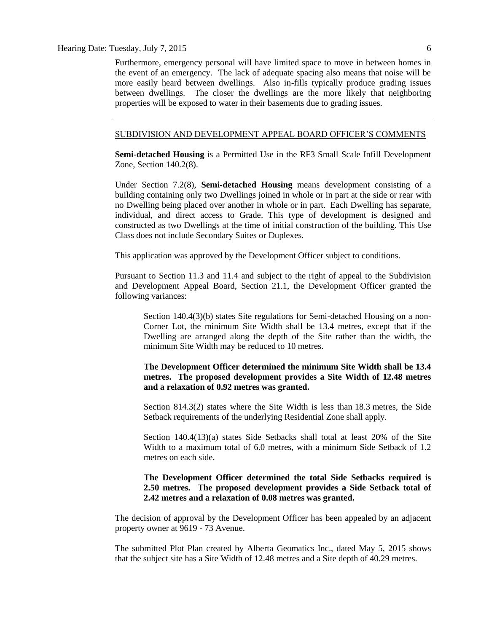Furthermore, emergency personal will have limited space to move in between homes in the event of an emergency. The lack of adequate spacing also means that noise will be more easily heard between dwellings. Also in-fills typically produce grading issues between dwellings. The closer the dwellings are the more likely that neighboring properties will be exposed to water in their basements due to grading issues.

### SUBDIVISION AND DEVELOPMENT APPEAL BOARD OFFICER'S COMMENTS

**Semi-detached Housing** is a Permitted Use in the RF3 Small Scale Infill Development Zone, Section 140.2(8).

Under Section 7.2(8), **Semi-detached Housing** means development consisting of a building containing only two Dwellings joined in whole or in part at the side or rear with no Dwelling being placed over another in whole or in part. Each Dwelling has separate, individual, and direct access to Grade. This type of development is designed and constructed as two Dwellings at the time of initial construction of the building. This Use Class does not include Secondary Suites or Duplexes.

This application was approved by the Development Officer subject to conditions.

Pursuant to Section 11.3 and 11.4 and subject to the right of appeal to the Subdivision and Development Appeal Board, Section 21.1, the Development Officer granted the following variances:

Section 140.4(3)(b) states Site regulations for Semi-detached Housing on a non-Corner Lot, the minimum Site Width shall be 13.4 metres, except that if the Dwelling are arranged along the depth of the Site rather than the width, the minimum Site Width may be reduced to 10 metres.

**The Development Officer determined the minimum Site Width shall be 13.4 metres. The proposed development provides a Site Width of 12.48 metres and a relaxation of 0.92 metres was granted.**

Section 814.3(2) states where the Site Width is less than [18.3](javascript:void(0);) metres, the Side Setback requirements of the underlying Residential Zone shall apply.

Section 140.4(13)(a) states Side Setbacks shall total at least 20% of the Site Width to a maximum total of 6.0 metres, with a minimum Side Setback of 1.2 metres on each side.

### **The Development Officer determined the total Side Setbacks required is 2.50 metres. The proposed development provides a Side Setback total of 2.42 metres and a relaxation of 0.08 metres was granted.**

The decision of approval by the Development Officer has been appealed by an adjacent property owner at 9619 - 73 Avenue.

The submitted Plot Plan created by Alberta Geomatics Inc., dated May 5, 2015 shows that the subject site has a Site Width of 12.48 metres and a Site depth of 40.29 metres.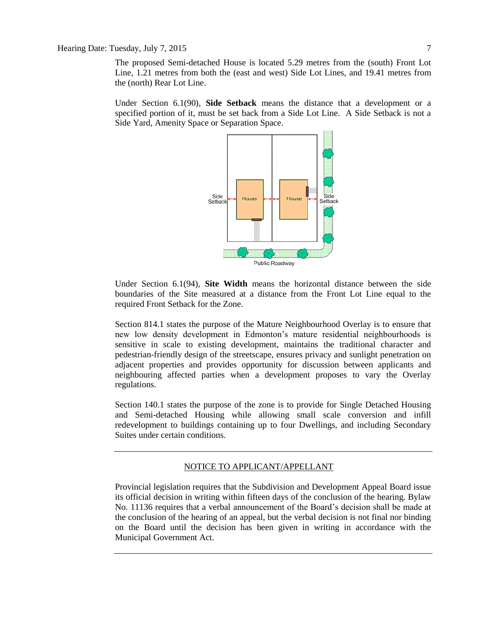The proposed Semi-detached House is located 5.29 metres from the (south) Front Lot Line, 1.21 metres from both the (east and west) Side Lot Lines, and 19.41 metres from the (north) Rear Lot Line.

Under Section 6.1(90), **Side Setback** means the distance that a development or a specified portion of it, must be set back from a Side Lot Line. A Side Setback is not a Side Yard, Amenity Space or Separation Space.



Under Section 6.1(94), **Site Width** means the horizontal distance between the side boundaries of the Site measured at a distance from the Front Lot Line equal to the required Front Setback for the Zone.

Section 814.1 states the purpose of the Mature Neighbourhood Overlay is to ensure that new low density development in Edmonton's mature residential neighbourhoods is sensitive in scale to existing development, maintains the traditional character and pedestrian-friendly design of the streetscape, ensures privacy and sunlight penetration on adjacent properties and provides opportunity for discussion between applicants and neighbouring affected parties when a development proposes to vary the Overlay regulations.

Section 140.1 states the purpose of the zone is to provide for Single Detached Housing and Semi-detached Housing while allowing small scale conversion and infill redevelopment to buildings containing up to four Dwellings, and including Secondary Suites under certain conditions.

#### NOTICE TO APPLICANT/APPELLANT

Provincial legislation requires that the Subdivision and Development Appeal Board issue its official decision in writing within fifteen days of the conclusion of the hearing. Bylaw No. 11136 requires that a verbal announcement of the Board's decision shall be made at the conclusion of the hearing of an appeal, but the verbal decision is not final nor binding on the Board until the decision has been given in writing in accordance with the Municipal Government Act.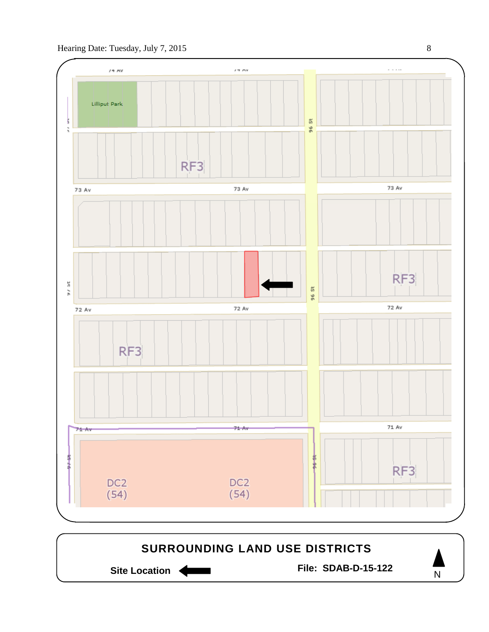